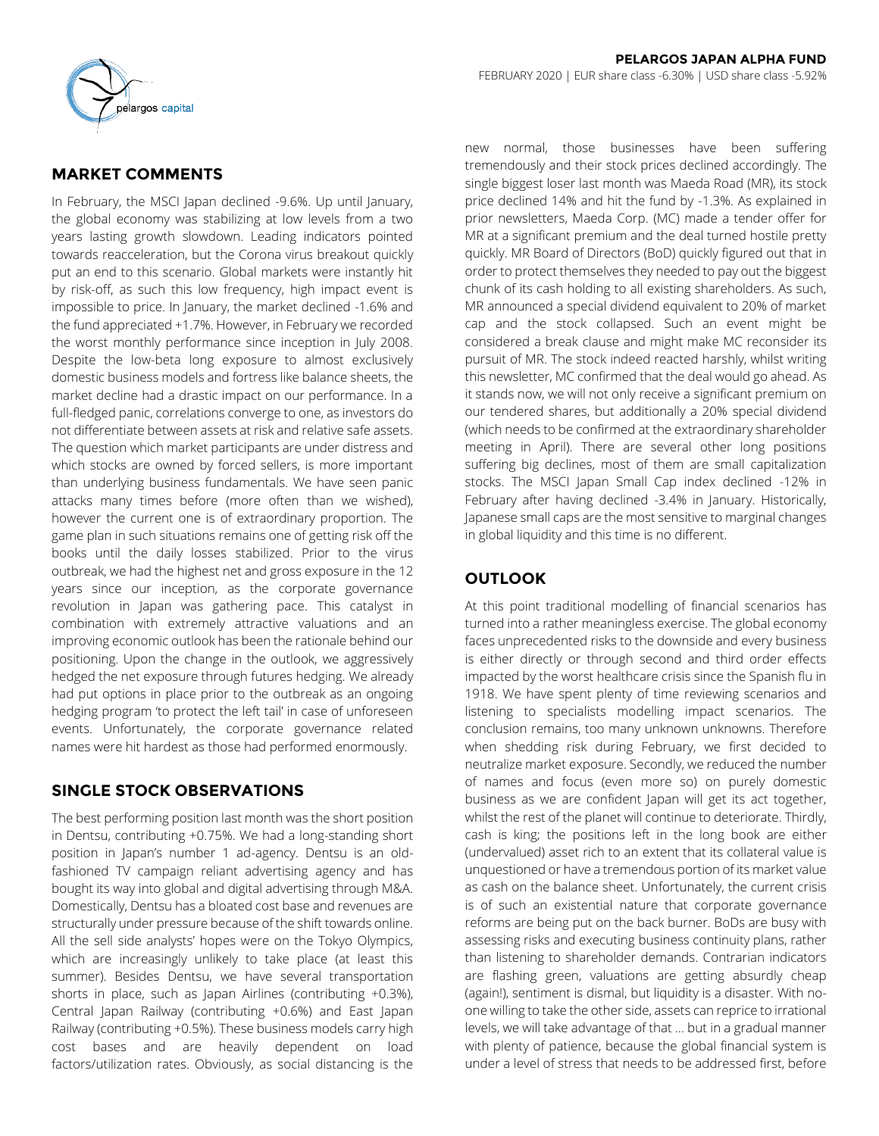

# **MARKET COMMENTS**

In February, the MSCI Japan declined -9.6%. Up until January, the global economy was stabilizing at low levels from a two years lasting growth slowdown. Leading indicators pointed towards reacceleration, but the Corona virus breakout quickly put an end to this scenario. Global markets were instantly hit by risk-off, as such this low frequency, high impact event is impossible to price. In January, the market declined -1.6% and the fund appreciated +1.7%. However, in February we recorded the worst monthly performance since inception in July 2008. Despite the low-beta long exposure to almost exclusively domestic business models and fortress like balance sheets, the market decline had a drastic impact on our performance. In a full-fledged panic, correlations converge to one, as investors do not differentiate between assets at risk and relative safe assets. The question which market participants are under distress and which stocks are owned by forced sellers, is more important than underlying business fundamentals. We have seen panic attacks many times before (more often than we wished), however the current one is of extraordinary proportion. The game plan in such situations remains one of getting risk off the books until the daily losses stabilized. Prior to the virus outbreak, we had the highest net and gross exposure in the 12 years since our inception, as the corporate governance revolution in Japan was gathering pace. This catalyst in combination with extremely attractive valuations and an improving economic outlook has been the rationale behind our positioning. Upon the change in the outlook, we aggressively hedged the net exposure through futures hedging. We already had put options in place prior to the outbreak as an ongoing hedging program 'to protect the left tail' in case of unforeseen events. Unfortunately, the corporate governance related names were hit hardest as those had performed enormously.

# **SINGLE STOCK OBSERVATIONS**

The best performing position last month was the short position in Dentsu, contributing +0.75%. We had a long-standing short position in Japan's number 1 ad-agency. Dentsu is an oldfashioned TV campaign reliant advertising agency and has bought its way into global and digital advertising through M&A. Domestically, Dentsu has a bloated cost base and revenues are structurally under pressure because of the shift towards online. All the sell side analysts' hopes were on the Tokyo Olympics, which are increasingly unlikely to take place (at least this summer). Besides Dentsu, we have several transportation shorts in place, such as Japan Airlines (contributing +0.3%), Central Japan Railway (contributing +0.6%) and East Japan Railway (contributing +0.5%). These business models carry high cost bases and are heavily dependent on load factors/utilization rates. Obviously, as social distancing is the

new normal, those businesses have been suffering tremendously and their stock prices declined accordingly. The single biggest loser last month was Maeda Road (MR), its stock price declined 14% and hit the fund by -1.3%. As explained in prior newsletters, Maeda Corp. (MC) made a tender offer for MR at a significant premium and the deal turned hostile pretty quickly. MR Board of Directors (BoD) quickly figured out that in order to protect themselves they needed to pay out the biggest chunk of its cash holding to all existing shareholders. As such, MR announced a special dividend equivalent to 20% of market cap and the stock collapsed. Such an event might be considered a break clause and might make MC reconsider its pursuit of MR. The stock indeed reacted harshly, whilst writing this newsletter, MC confirmed that the deal would go ahead. As it stands now, we will not only receive a significant premium on our tendered shares, but additionally a 20% special dividend (which needs to be confirmed at the extraordinary shareholder meeting in April). There are several other long positions suffering big declines, most of them are small capitalization stocks. The MSCI Japan Small Cap index declined -12% in February after having declined -3.4% in January. Historically, Japanese small caps are the most sensitive to marginal changes in global liquidity and this time is no different.

# **OUTLOOK**

At this point traditional modelling of financial scenarios has turned into a rather meaningless exercise. The global economy faces unprecedented risks to the downside and every business is either directly or through second and third order effects impacted by the worst healthcare crisis since the Spanish flu in 1918. We have spent plenty of time reviewing scenarios and listening to specialists modelling impact scenarios. The conclusion remains, too many unknown unknowns. Therefore when shedding risk during February, we first decided to neutralize market exposure. Secondly, we reduced the number of names and focus (even more so) on purely domestic business as we are confident Japan will get its act together, whilst the rest of the planet will continue to deteriorate. Thirdly, cash is king; the positions left in the long book are either (undervalued) asset rich to an extent that its collateral value is unquestioned or have a tremendous portion of its market value as cash on the balance sheet. Unfortunately, the current crisis is of such an existential nature that corporate governance reforms are being put on the back burner. BoDs are busy with assessing risks and executing business continuity plans, rather than listening to shareholder demands. Contrarian indicators are flashing green, valuations are getting absurdly cheap (again!), sentiment is dismal, but liquidity is a disaster. With noone willing to take the other side, assets can reprice to irrational levels, we will take advantage of that … but in a gradual manner with plenty of patience, because the global financial system is under a level of stress that needs to be addressed first, before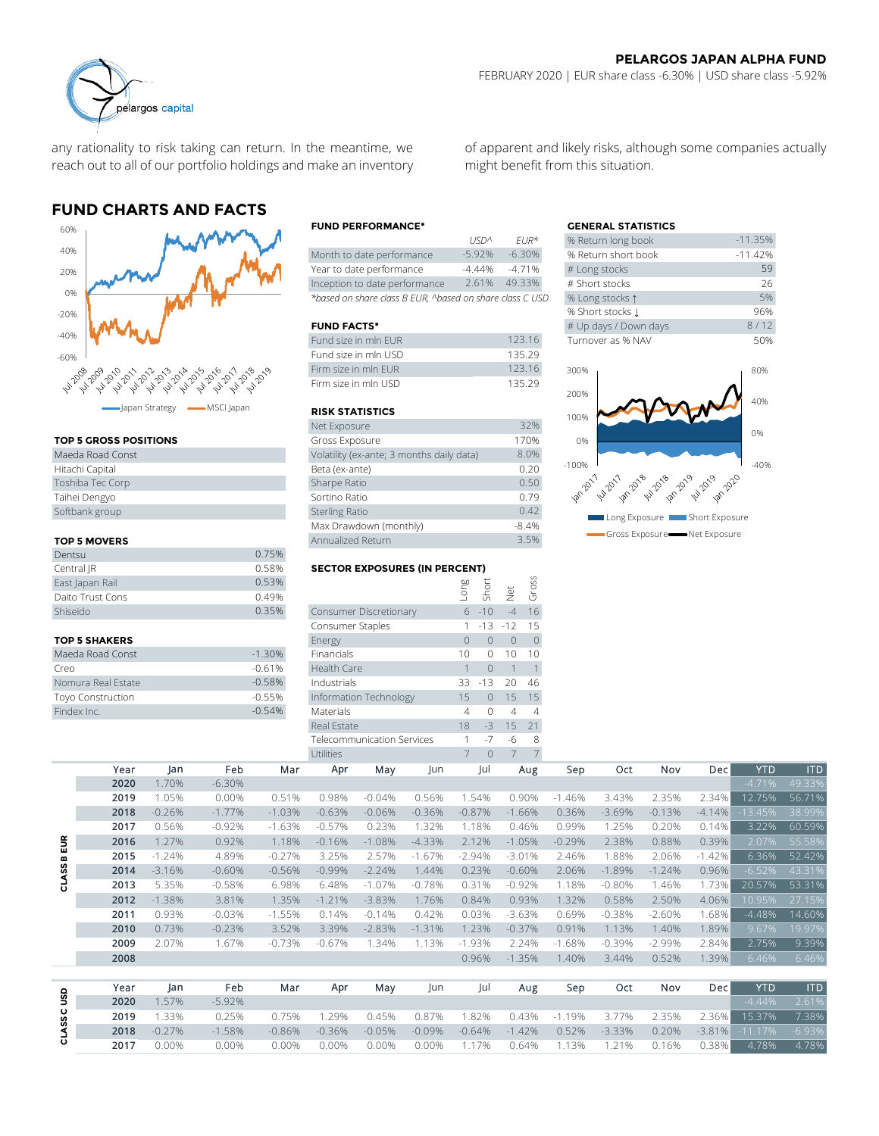of apparent and likely risks, although some companies actually



any rationality to risk taking can return. In the meantime, we reach out to all of our portfolio holdings and make an inventory

# **FUND CHARTS AND FACTS**



## **TOP 5 GROSS POSITIONS**

| Maeda Road Const | Volatility (ex-ante; 3 months daily data) |  |  |  |  |
|------------------|-------------------------------------------|--|--|--|--|
| Hitachi Capital  | Beta (ex-ante)                            |  |  |  |  |
| Toshiba Tec Corp | Sharpe Ratio                              |  |  |  |  |
| Taihei Dengyo    | Sortino Ratio                             |  |  |  |  |
| Softbank group   | <b>Sterling Ratio</b>                     |  |  |  |  |
|                  | $-1$ $-1$                                 |  |  |  |  |

### **TOP 5 MOVERS**

|                     |                   | Max Drawdown (monthly)               |     |       |                      | -8.4% |  |
|---------------------|-------------------|--------------------------------------|-----|-------|----------------------|-------|--|
| <b>TOP 5 MOVERS</b> | Annualized Return |                                      |     |       |                      |       |  |
| Dentsu              | 0.75%             |                                      |     |       |                      |       |  |
| Central IR          | 0.58%             | <b>SECTOR EXPOSURES (IN PERCENT)</b> |     |       |                      |       |  |
| East Japan Rail     | 0.53%             |                                      | ong |       |                      | Gross |  |
| Daito Trust Cons    | 0.49%             |                                      |     |       | $\frac{1}{\sqrt{2}}$ |       |  |
| Shiseido            | 0.35%             | Consumer Discretionary               | 6   | $-10$ | $-4$                 | -16   |  |
|                     |                   | Consumer Staples                     |     |       | $1 - 13 - 12$ 15     |       |  |
|                     |                   |                                      |     |       |                      |       |  |

## **TOP 5 SHAKERS**

| Maeda Road Const         | $-1.30%$ |
|--------------------------|----------|
| Creo                     | $-0.61%$ |
| Nomura Real Estate       | $-0.58%$ |
| <b>Toyo Construction</b> | $-0.55%$ |
| Findex Inc.              | $-0.54%$ |

|                                                          | 115D <sub>A</sub> | $FIR*$    | % Return long book  |
|----------------------------------------------------------|-------------------|-----------|---------------------|
| Month to date performance                                | $-5.92%$          | $-6.30\%$ | % Return short book |
| Year to date performance                                 | $-4.44%$          | $-471%$   | # Long stocks       |
| Inception to date performance                            | 2.61%             | 49.33%    | # Short stocks      |
| *based on share class B EUR, ^based on share class C USD | % Long stocks 1   |           |                     |

### **FUND FACTS\***

| Fund size in mln EUR | 123.16 | Turnover as % NAV |
|----------------------|--------|-------------------|
| Fund size in mln USD | 135.29 |                   |
| Firm size in mln FUR | 123.16 | 300%              |
| Firm size in mln USD | 135.29 |                   |

## **RISK STATISTICS**

| Net Exposure                              | 32%     |
|-------------------------------------------|---------|
| Gross Exposure                            | 170%    |
| Volatility (ex-ante; 3 months daily data) | 8.0%    |
| Beta (ex-ante)                            | 0.20    |
| Sharpe Ratio                              | 0.50    |
| Sortino Ratio                             | 0.79    |
| <b>Sterling Ratio</b>                     | 0.42    |
| Max Drawdown (monthly)                    | $-8.4%$ |
| Annualized Return                         | 3.5%    |

## **SECTOR EXPOSURES (IN PERCENT)**

| <b>TOP 5 MOVERS</b>  |                                      | Annualized Return<br>3.5%         |      |          |          |          |  |  |
|----------------------|--------------------------------------|-----------------------------------|------|----------|----------|----------|--|--|
| Dentsu               | 0.75%                                |                                   |      |          |          |          |  |  |
| Central IR           | <b>SECTOR EXPOSURES (IN PERCENT)</b> |                                   |      |          |          |          |  |  |
| East Japan Rail      | 0.53%                                |                                   | suo- |          |          | Gross    |  |  |
| Daito Trust Cons     | 0.49%                                |                                   |      | Short    | Net      |          |  |  |
| Shiseido             | 0.35%                                | Consumer Discretionary            |      | $6 - 10$ | $-4$     | 16       |  |  |
|                      |                                      | Consumer Staples                  |      | $-13$    | $-12$    | 15       |  |  |
| <b>TOP 5 SHAKERS</b> |                                      | Energy                            |      | $\Omega$ | $\Omega$ | $\Omega$ |  |  |
| Maeda Road Const     | $-1.30%$                             | Financials                        | 10   | $\Omega$ | 10       | 10       |  |  |
| Creo                 | $-0.61%$                             | <b>Health Care</b>                |      | $\Omega$ |          |          |  |  |
| Nomura Real Estate   | $-0.58%$                             | Industrials                       | 33   | $-13$    | 20       | 46       |  |  |
| Toyo Construction    | $-0.55%$                             | Information Technology            | 15   | $\Omega$ | 15       | 15       |  |  |
| Findex Inc.          | $-0.54%$                             | Materials                         | 4    | $\Omega$ | 4        | 4        |  |  |
|                      |                                      | Real Estate                       | 18   | $-3$     | 15       | 21       |  |  |
|                      |                                      | <b>Telecommunication Services</b> |      | -7       | -6       | 8        |  |  |
|                      |                                      | and a structure.                  |      | $\sim$   |          |          |  |  |

## **FUND PERFORMANCE\* GENERAL STATISTICS**

might benefit from this situation.

| <b>GENERAL STATISTICS</b>                                      |           |
|----------------------------------------------------------------|-----------|
| % Return long book                                             | $-11.35%$ |
| % Return short book                                            | $-11.42%$ |
| # Long stocks                                                  | 59        |
| # Short stocks                                                 | 26        |
| % Long stocks 1                                                | 5%        |
| % Short stocks 1                                               | 96%       |
| # Up days / Down days                                          | 8/12      |
| Turnover as % NAV                                              | 50%       |
| 300%                                                           | 80%       |
| 200%<br>100%                                                   | 40%       |
| 0%                                                             | 0%        |
| $-100%$                                                        | $-40%$    |
| 1 - 2017 - 2018 - 2019 - 2019 - 2019 - 2019<br><b>Pan 2017</b> |           |
| Long Exposure <b>The Short Exposure</b>                        |           |
| Gross Exposure Net Exposure                                    |           |

|                          |                                    |          |          |          | <b>Utilities</b> |          |          | 0        |          |          |          |           |          |            |            |
|--------------------------|------------------------------------|----------|----------|----------|------------------|----------|----------|----------|----------|----------|----------|-----------|----------|------------|------------|
|                          | Year                               | Jan      | Feb      | Mar      | Apr              | May      | lun      | Jul      | Aug      | Sep      | Oct      | Nov       | Decl     | <b>YTD</b> | <b>ITD</b> |
|                          | 2020                               | 1.70%    | $-6.30%$ |          |                  |          |          |          |          |          |          |           |          | $-4.71%$   | 49.33%     |
|                          | 2019                               | 1.05%    | 0.00%    | 0.51%    | 0.98%            | $-0.04%$ | 0.56%    | 1.54%    | 0.90%    | $-1.46%$ | 3.43%    | 2.35%     | 2.34%    | 12.75%     | 56.71%     |
|                          | 2018                               | $-0.26%$ | $-1.77%$ | $-1.03%$ | $-0.63%$         | $-0.06%$ | $-0.36%$ | $-0.87%$ | $-1.66%$ | 0.36%    | $-3.69%$ | $-0.13%$  | $-4.14%$ | 13.45%     | 38.99%     |
|                          | 2017                               | 0.56%    | $-0.92%$ | $-1.63%$ | $-0.57%$         | 0.23%    | 1.32%    | 1.18%    | 0.46%    | 0.99%    | 1.25%    | 0.20%     | 0.14%    | 3.22%      | 60.59%     |
| $\widetilde{\mathbb{E}}$ | 2016                               | 1.27%    | 0.92%    | 1.18%    | $-0.16%$         | $-1.08%$ | $-4.33%$ | 2.12%    | $-1.05%$ | $-0.29%$ | 2.38%    | 0.88%     | 0.39%    | 2.07%      | 55.58%     |
| ш<br>m                   | 2015                               | $-1.24%$ | 4.89%    | $-0.27%$ | 3.25%            | 2.57%    | $-1.67%$ | $-2.94%$ | $-3.01%$ | 2.46%    | 1.88%    | 2.06%     | $-1.42%$ | 6.36%      | 52.42%     |
| <b>CLASS</b>             | 2014                               | $-3.16%$ | $-0.60%$ | $-0.56%$ | $-0.99%$         | $-2.24%$ | 1.44%    | 0.23%    | $-0.60%$ | 2.06%    | $-1.89%$ | $-1.24%$  | 0.96%    | $-6.52%$   | 43.31%     |
|                          | 2013                               | 5.35%    | $-0.58%$ | 6.98%    | 6.48%            | $-1.07%$ | $-0.78%$ | 0.31%    | $-0.92%$ | 1.18%    | $-0.80%$ | 1.46%     | 1.73%    | 20.57%     | 53.31%     |
|                          | 2012                               | $-1.38%$ | 3.81%    | 1.35%    | $-1.21%$         | $-3.83%$ | 1.76%    | 0.84%    | 0.93%    | 1.32%    | 0.58%    | 2.50%     | 4.06%    | 10.95%     | 27.15%     |
|                          | 2011                               | 0.93%    | $-0.03%$ | $-1.55%$ | 0.14%            | $-0.14%$ | 0.42%    | 0.03%    | $-3.63%$ | 0.69%    | $-0.38%$ | $-2.60\%$ | 1.68%    | $-4.48%$   | 14.60%     |
|                          | 2010                               | 0.73%    | $-0.23%$ | 3.52%    | 3.39%            | $-2.83%$ | $-1.31%$ | 1.23%    | $-0.37%$ | 0.91%    | 1.13%    | 1.40%     | 1.89%    | 9.67%      | 19.97%     |
|                          | 2009                               | 2.07%    | 1.67%    | $-0.73%$ | $-0.67%$         | 1.34%    | 1.13%    | $-1.93%$ | 2.24%    | $-1.68%$ | $-0.39%$ | $-2.99%$  | 2.84%    | 2.75%      | 9.39%      |
|                          | 2008                               |          |          |          |                  |          |          | 0.96%    | $-1.35%$ | 1.40%    | 3.44%    | 0.52%     | 1.39%    | 6.46%      | 6.46%      |
|                          |                                    |          |          |          |                  |          |          |          |          |          |          |           |          |            |            |
|                          | Year                               | Jan      | Feb      | Mar      | Apr              | May      | lun      | Jul      | Aug      | Sep      | Oct      | Nov       | Decl     | <b>YTD</b> | <b>ITD</b> |
| ទី                       | 2020                               | 1.57%    | $-5.92%$ |          |                  |          |          |          |          |          |          |           |          | $-4.44%$   | 2.61%      |
| ပ                        | 2019                               | 1.33%    | 0.25%    | 0.75%    | 1.29%            | 0.45%    | 0.87%    | 1.82%    | 0.43%    | $-1.19%$ | 3.77%    | 2.35%     | 2.36%    | 15.37%     | 7.38%      |
| <b>LASS</b>              | 2018                               | $-0.27%$ | $-1.58%$ | $-0.86%$ | $-0.36%$         | $-0.05%$ | $-0.09%$ | $-0.64%$ | $-1.42%$ | 0.52%    | $-3.33%$ | 0.20%     | $-3.81%$ | $-11.17%$  | $-6.93%$   |
| ပ                        | $\mathbf{a} \mathbf{a} \mathbf{b}$ | 0.0001   | 0.0001   | 0.001    | 0.001            | 0.0001   | 0.001    | 4.701    | 0.011    | 1.121    | 1.2101   | 0.101     | 0.2001   | 17001      | 1.7001     |

**2017** 0.00% 0.00% 0.00% 0.00% 0.00% 0.00% 1.17% 0.64% 1.13% 1.21% 0.16% 0.38% 4.78% 4.78%